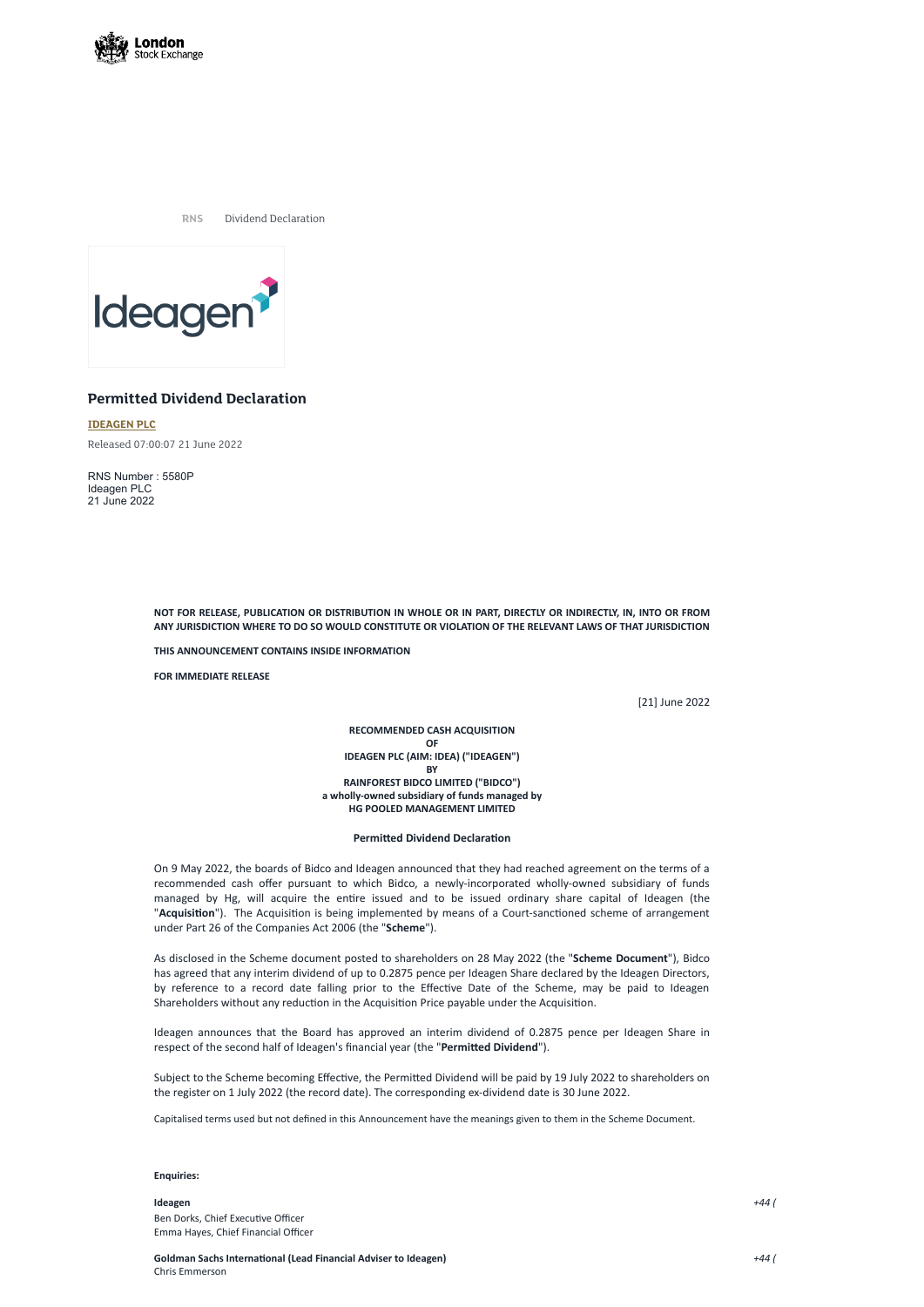

**RNS** Dividend Declaration



# **Permitted Dividend Declaration**

**[IDEAGEN](https://www.londonstockexchange.com/stock/IDEA/ideagen-plc) PLC**

Released 07:00:07 21 June 2022

RNS Number : 5580P Ideagen PLC 21 June 2022

> NOT FOR RELEASE, PUBLICATION OR DISTRIBUTION IN WHOLE OR IN PART, DIRECTLY OR INDIRECTLY, IN, INTO OR FROM **ANY JURISDICTION WHERE TO DO SO WOULD CONSTITUTE OR VIOLATION OF THE RELEVANT LAWS OF THAT JURISDICTION**

**THIS ANNOUNCEMENT CONTAINS INSIDE INFORMATION**

**FOR IMMEDIATE RELEASE**

[21] June 2022

**RECOMMENDED CASH ACQUISITION OF IDEAGEN PLC (AIM: IDEA) ("IDEAGEN") BY RAINFOREST BIDCO LIMITED ("BIDCO") a wholly-owned subsidiary of funds managed by HG POOLED MANAGEMENT LIMITED**

## **Permitted Dividend Declaration**

On 9 May 2022, the boards of Bidco and Ideagen announced that they had reached agreement on the terms of a recommended cash offer pursuant to which Bidco, a newly-incorporated wholly-owned subsidiary of funds managed by Hg, will acquire the entire issued and to be issued ordinary share capital of Ideagen (the "**Acquisition**"). The Acquisition is being implemented by means of a Court-sanctioned scheme of arrangement under Part 26 of the Companies Act 2006 (the "**Scheme**").

As disclosed in the Scheme document posted to shareholders on 28 May 2022 (the "**Scheme Document**"), Bidco has agreed that any interim dividend of up to 0.2875 pence per Ideagen Share declared by the Ideagen Directors, by reference to a record date falling prior to the Effective Date of the Scheme, may be paid to Ideagen Shareholders without any reduction in the Acquisition Price payable under the Acquisition.

Ideagen announces that the Board has approved an interim dividend of 0.2875 pence per Ideagen Share in respect of the second half of Ideagen's financial year (the "**Permitted Dividend**").

Subject to the Scheme becoming Effective, the Permitted Dividend will be paid by 19 July 2022 to shareholders on the register on 1 July 2022 (the record date). The corresponding ex-dividend date is 30 June 2022.

Capitalised terms used but not defined in this Announcement have the meanings given to them in the Scheme Document.

### **Enquiries:**

### **Ideagen**

Ben Dorks, Chief Executive Officer Emma Hayes, Chief Financial Officer *+44 (*

# **Goldman Sachs International (Lead Financial Adviser to Ideagen)** Chris Emmerson

*+44 (*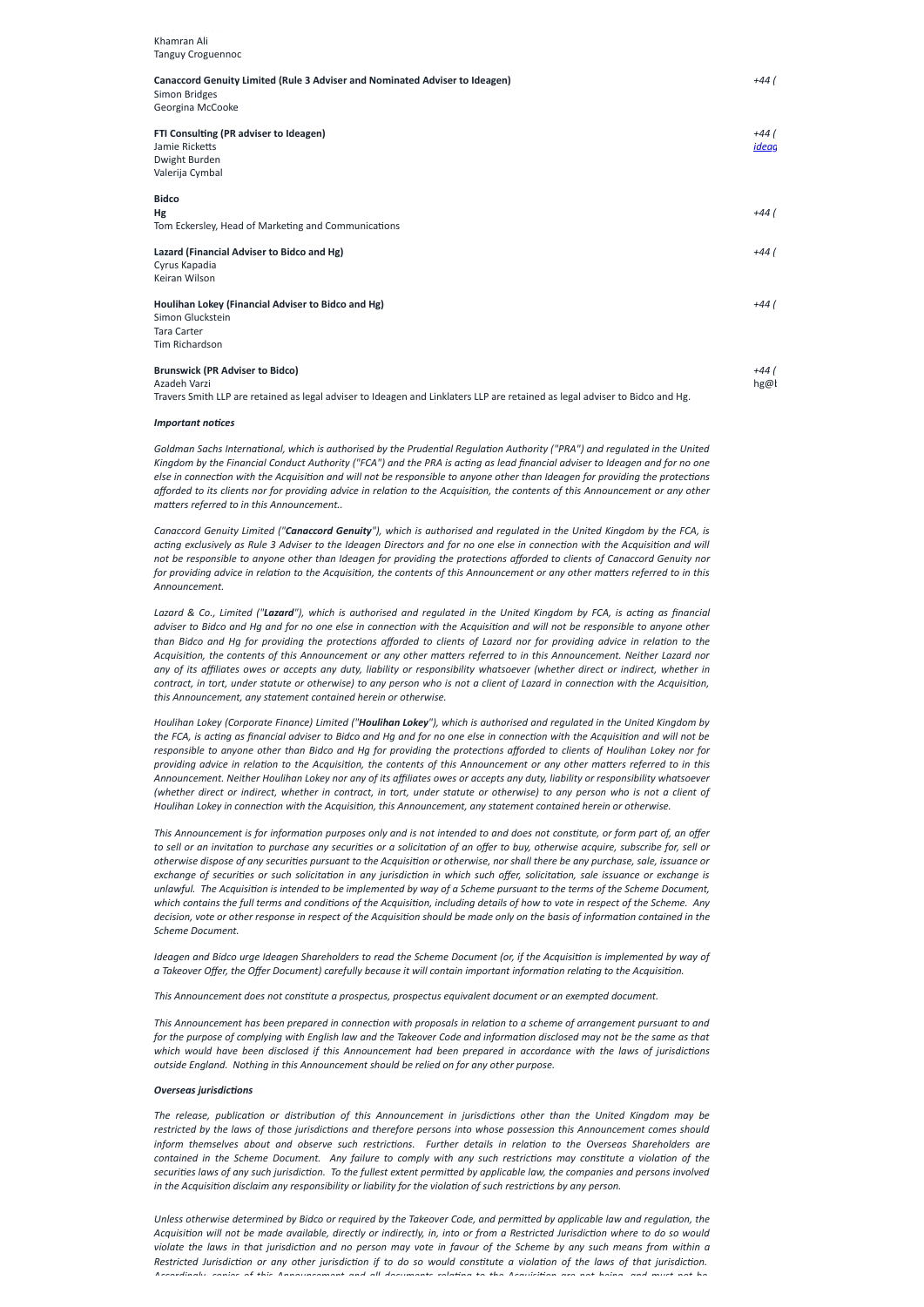Chris mmerson

| Khamran Ali<br>Tanguy Croguennoc                                                                                             |              |
|------------------------------------------------------------------------------------------------------------------------------|--------------|
|                                                                                                                              |              |
| Simon Bridges                                                                                                                |              |
| Georgina McCooke                                                                                                             |              |
| FTI Consulting (PR adviser to Ideagen)                                                                                       | +44 (        |
| Jamie Ricketts                                                                                                               | <u>ideac</u> |
| Dwight Burden                                                                                                                |              |
| Valerija Cymbal                                                                                                              |              |
| <b>Bidco</b>                                                                                                                 |              |
| <b>Hg</b>                                                                                                                    | +44 (        |
| Tom Eckersley, Head of Marketing and Communications                                                                          |              |
| Lazard (Financial Adviser to Bidco and Hg)                                                                                   | +44 (        |
| Cyrus Kapadia                                                                                                                |              |
| Keiran Wilson                                                                                                                |              |
| Houlihan Lokey (Financial Adviser to Bidco and Hg)                                                                           | +44 (        |
| Simon Gluckstein                                                                                                             |              |
| <b>Tara Carter</b>                                                                                                           |              |
| Tim Richardson                                                                                                               |              |
| <b>Brunswick (PR Adviser to Bidco)</b>                                                                                       | $+44($       |
| Azadeh Varzi                                                                                                                 | hg@l         |
| Travers Smith LLP are retained as legal adviser to Ideagen and Linklaters LLP are retained as legal adviser to Bidco and Hg. |              |

Goldman Sachs International, which is authorised by the Prudential Regulation Authority ("PRA") and regulated in the United Kingdom by the Financial Conduct Authority ("FCA") and the PRA is acting as lead financial adviser to Ideagen and for no one else in connection with the Acquisition and will not be responsible to anyone other than Ideagen for providing the protections afforded to its clients nor for providing advice in relation to the Acquisition, the contents of this Announcement or any other *matters referred to in this Announcement..*

#### *Important notices*

Canaccord Genuity Limited ("Canaccord Genuity"), which is authorised and regulated in the United Kingdom by the FCA, is acting exclusively as Rule 3 Adviser to the Ideagen Directors and for no one else in connection with the Acquisition and will not be responsible to anyone other than Ideagen for providing the protections afforded to clients of Canaccord Genuity nor for providing advice in relation to the Acquisition, the contents of this Announcement or any other matters referred to in this *Announcement.*

Lazard & Co., Limited ("Lazard"), which is authorised and regulated in the United Kingdom by FCA, is acting as financial adviser to Bidco and Hg and for no one else in connection with the Acquisition and will not be responsible to anyone other than Bidco and Hq for providing the protections afforded to clients of Lazard nor for providing advice in relation to the Acquisition, the contents of this Announcement or any other matters referred to in this Announcement. Neither Lazard nor any of its affiliates owes or accepts any duty, liability or responsibility whatsoever (whether direct or indirect, whether in contract, in tort, under statute or otherwise) to any person who is not a client of Lazard in connection with the Acquisition, *this Announcement, any statement contained herein or otherwise.*

Houlihan Lokey (Corporate Finance) Limited ("Houlihan Lokey"), which is authorised and regulated in the United Kingdom by the FCA, is acting as financial adviser to Bidco and Hg and for no one else in connection with the Acquisition and will not be responsible to anyone other than Bidco and Hg for providing the protections afforded to clients of Houlihan Lokey nor for providing advice in relation to the Acquisition, the contents of this Announcement or any other matters referred to in this Announcement. Neither Houlihan Lokey nor any of its affiliates owes or accepts any duty, liability or responsibility whatsoever (whether direct or indirect, whether in contract, in tort, under statute or otherwise) to any person who is not a client of *Houlihan Lokey in connection with the Acquisition, this Announcement, any statement contained herein or otherwise.*

This Announcement is for information purposes only and is not intended to and does not constitute, or form part of, an offer to sell or an invitation to purchase any securities or a solicitation of an offer to buy, otherwise acquire, subscribe for, sell or otherwise dispose of any securities pursuant to the Acquisition or otherwise, nor shall there be any purchase, sale, issuance or exchange of securities or such solicitation in any jurisdiction in which such offer, solicitation, sale issuance or exchange is unlawful. The Acquisition is intended to be implemented by way of a Scheme pursuant to the terms of the Scheme Document, which contains the full terms and conditions of the Acquisition, including details of how to vote in respect of the Scheme. Any decision, vote or other response in respect of the Acquisition should be made only on the basis of information contained in the *Scheme Document.*

Ideagen and Bidco urge Ideagen Shareholders to read the Scheme Document (or, if the Acquisition is implemented by way of a Takeover Offer, the Offer Document) carefully because it will contain important information relating to the Acquisition.

This Announcement has been prepared in connection with proposals in relation to a scheme of arrangement pursuant to and for the purpose of complying with English law and the Takeover Code and information disclosed may not be the same as that which would have been disclosed if this Announcement had been prepared in accordance with the laws of jurisdictions *outside England. Nothing in this Announcement should be relied on for any other purpose.*

*This Announcement does not constitute a prospectus, prospectus equivalent document or an exempted document.*

#### *Overseas jurisdictions*

The release, publication or distribution of this Announcement in jurisdictions other than the United Kingdom may be restricted by the laws of those jurisdictions and therefore persons into whose possession this Announcement comes should inform themselves about and observe such restrictions. Further details in relation to the Overseas Shareholders are contained in the Scheme Document. Any failure to comply with any such restrictions may constitute a violation of the securities laws of any such jurisdiction. To the fullest extent permitted by applicable law, the companies and persons involved in the Acquisition disclaim any responsibility or liability for the violation of such restrictions by any person.

Unless otherwise determined by Bidco or required by the Takeover Code, and permitted by applicable law and regulation, the Acquisition will not be made available, directly or indirectly, in, into or from a Restricted Jurisdiction where to do so would violate the laws in that jurisdiction and no person may vote in favour of the Scheme by any such means from within a Restricted Jurisdiction or any other jurisdiction if to do so would constitute a violation of the laws of that jurisdiction. Accordingly, coniec of this Announcement and all decuments solating to the Acquisition ase not being, and must not be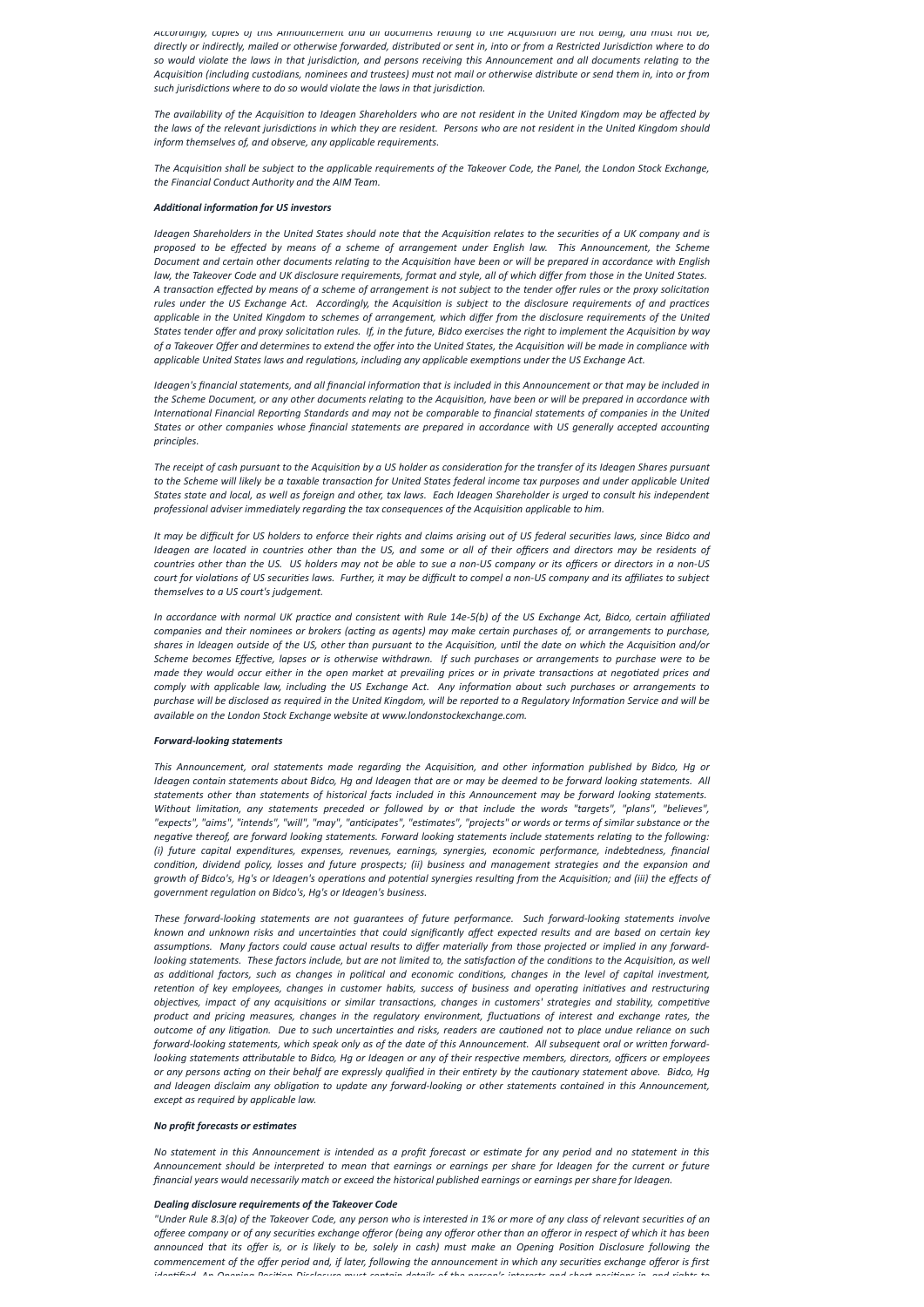Accordingly, copies of this Announcement and all aocuments relating to the Acquisition are not being, and must not be, directly or indirectly, mailed or otherwise forwarded, distributed or sent in, into or from a Restricted Jurisdiction where to do so would violate the laws in that jurisdiction, and persons receiving this Announcement and all documents relating to the Acquisition (including custodians, nominees and trustees) must not mail or otherwise distribute or send them in, into or from *such jurisdictions where to do so would violate the laws in that jurisdiction.*

The availability of the Acquisition to Ideagen Shareholders who are not resident in the United Kingdom may be affected by the laws of the relevant jurisdictions in which they are resident. Persons who are not resident in the United Kingdom should *inform themselves of, and observe, any applicable requirements.*

The Acquisition shall be subject to the applicable requirements of the Takeover Code, the Panel, the London Stock Exchange, *the Financial Conduct Authority and the AIM Team.*

### *Additional information for US investors*

Ideagen Shareholders in the United States should note that the Acquisition relates to the securities of a UK company and is *proposed to be effected by means of a scheme of arrangement under English law. This Announcement, the Scheme* Document and certain other documents relating to the Acquisition have been or will be prepared in accordance with English law, the Takeover Code and UK disclosure requirements, format and style, all of which differ from those in the United States. A transaction effected by means of a scheme of arrangement is not subject to the tender offer rules or the proxy solicitation rules under the US Exchange Act. Accordingly, the Acquisition is subject to the disclosure requirements of and practices applicable in the United Kingdom to schemes of arrangement, which differ from the disclosure requirements of the United States tender offer and proxy solicitation rules. If, in the future, Bidco exercises the right to implement the Acquisition by way of a Takeover Offer and determines to extend the offer into the United States, the Acquisition will be made in compliance with *applicable United States laws and regulations, including any applicable exemptions under the US Exchange Act.*

Ideagen's financial statements, and all financial information that is included in this Announcement or that may be included in the Scheme Document, or any other documents relating to the Acquisition, have been or will be prepared in accordance with International Financial Reporting Standards and may not be comparable to financial statements of companies in the United States or other companies whose financial statements are prepared in accordance with US generally accepted accounting *principles.*

The receipt of cash pursuant to the Acquisition by a US holder as consideration for the transfer of its Ideagen Shares pursuant to the Scheme will likely be a taxable transaction for United States federal income tax purposes and under applicable United States state and local, as well as foreign and other, tax laws. Each Ideagen Shareholder is urged to consult his independent *professional adviser immediately regarding the tax consequences of the Acquisition applicable to him.*

It may be difficult for US holders to enforce their rights and claims arising out of US federal securities laws, since Bidco and Ideagen are located in countries other than the US, and some or all of their officers and directors may be residents of countries other than the US. US holders may not be able to sue a non-US company or its officers or directors in a non-US court for violations of US securities laws. Further, it may be difficult to compel a non-US company and its affiliates to subject *themselves to a US court's judgement.*

In accordance with normal UK practice and consistent with Rule 14e-5(b) of the US Exchange Act, Bidco, certain affiliated companies and their nominees or brokers (acting as agents) may make certain purchases of, or arrangements to purchase, shares in Ideagen outside of the US, other than pursuant to the Acquisition, until the date on which the Acquisition and/or Scheme becomes Effective, lapses or is otherwise withdrawn. If such purchases or arrangements to purchase were to be made they would occur either in the open market at prevailing prices or in private transactions at negotiated prices and comply with applicable law, including the US Exchange Act. Any information about such purchases or arrangements to purchase will be disclosed as required in the United Kingdom, will be reported to a Regulatory Information Service and will be *available on the London Stock Exchange website at www.londonstockexchange.com.*

This Announcement, oral statements made regarding the Acquisition, and other information published by Bidco, Hg or Ideagen contain statements about Bidco, Hg and Ideagen that are or may be deemed to be forward looking statements. All *statements other than statements of historical facts included in this Announcement may be forward looking statements.* Without limitation, any statements preceded or followed by or that include the words "targets", "plans", "believes", "expects", "aims", "intends", "will", "may", "anticipates", "estimates", "projects" or words or terms of similar substance or the negative thereof, are forward looking statements. Forward looking statements include statements relating to the following: *(i) future capital expenditures, expenses, revenues, earnings, synergies, economic performance, indebtedness, financial* condition, dividend policy, losses and future prospects; (ii) business and management strategies and the expansion and growth of Bidco's, Hg's or Ideagen's operations and potential synergies resulting from the Acquisition; and (iii) the effects of *government regulation on Bidco's, Hg's or Ideagen's business.*

# *Forward-looking statements*

*These forward-looking statements are not guarantees of future performance. Such forward-looking statements involve* known and unknown risks and uncertainties that could significantly affect expected results and are based on certain key assumptions. Many factors could cause actual results to differ materially from those projected or implied in any forwardlooking statements. These factors include, but are not limited to, the satisfaction of the conditions to the Acquisition, as well as additional factors, such as changes in political and economic conditions, changes in the level of capital investment, *retention of key employees, changes in customer habits, success of business and operating initiatives and restructuring objectives, impact of any acquisitions or similar transactions, changes in customers' strategies and stability, competitive product and pricing measures, changes in the regulatory environment, fluctuations of interest and exchange rates, the* outcome of any litigation. Due to such uncertainties and risks, readers are cautioned not to place undue reliance on such forward-looking statements, which speak only as of the date of this Announcement. All subsequent oral or written forwardlooking statements attributable to Bidco, Hg or Ideagen or any of their respective members, directors, officers or employees or any persons acting on their behalf are expressly qualified in their entirety by the cautionary statement above. Bidco, Hg and Ideagen disclaim any obligation to update any forward-looking or other statements contained in this Announcement, *except as required by applicable law.*

## *No profit forecasts or estimates*

No statement in this Announcement is intended as a profit forecast or estimate for any period and no statement in this Announcement should be interpreted to mean that earnings or earnings per share for Ideagen for the current or future financial years would necessarily match or exceed the historical published earnings or earnings per share for Ideagen.

### *Dealing disclosure requirements of the Takeover Code*

"Under Rule 8.3(a) of the Takeover Code, any person who is interested in 1% or more of any class of relevant securities of an offeree company or of any securities exchange offeror (being any offeror other than an offeror in respect of which it has been announced that its offer is, or is likely to be, solely in cash) must make an Opening Position Disclosure following the commencement of the offer period and, if later, following the announcement in which any securities exchange offeror is first identified. An Onening Decition Dicelecure must contain details of the norseals interests and short necitions in, and rights to